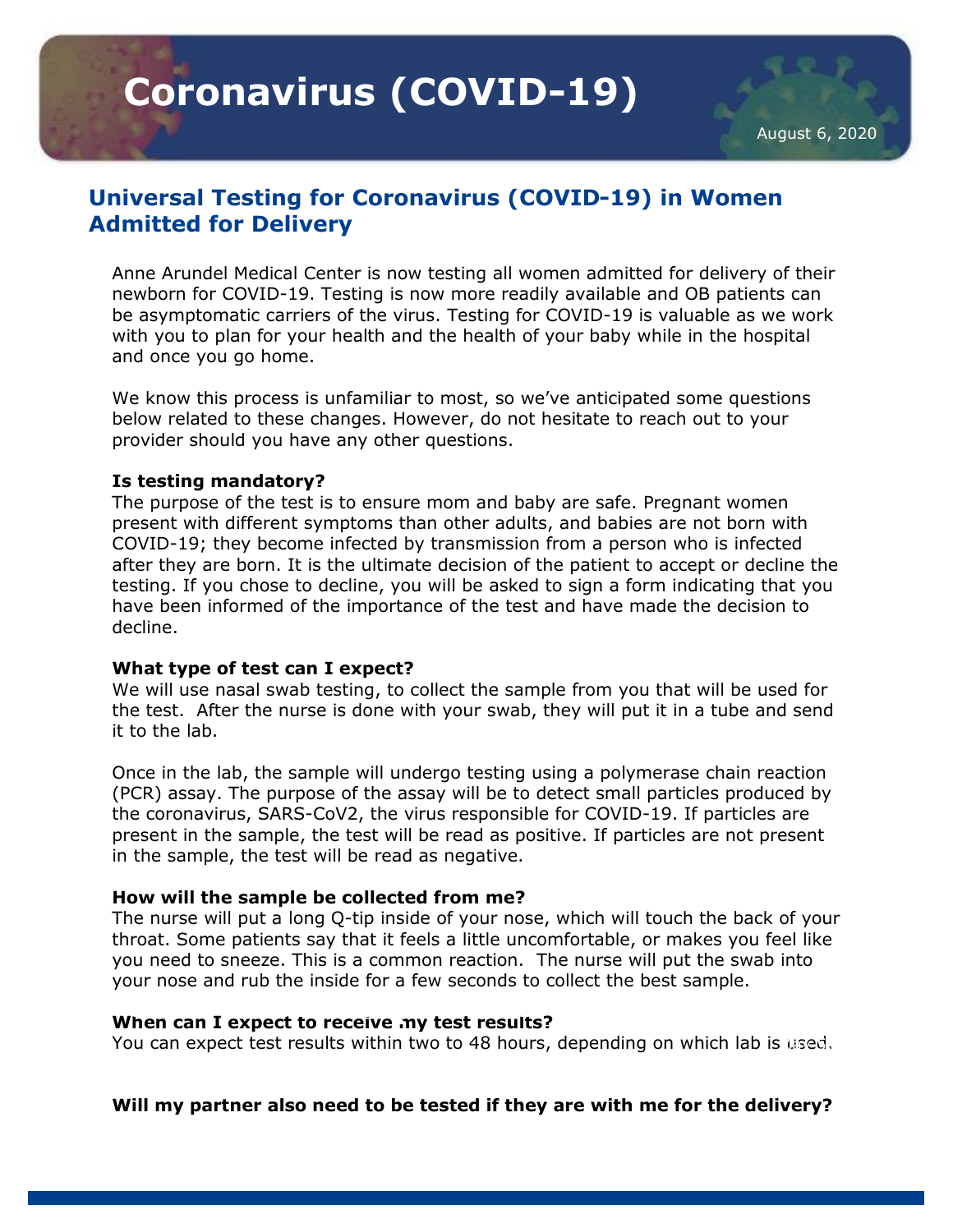**Coronavirus (COVID-19)** 

# **Universal Testing for Coronavirus (COVID-19) in Women Admitted for Delivery**

Anne Arundel Medical Center is now testing all women admitted for delivery of their newborn for COVID-19. Testing is now more readily available and OB patients can be asymptomatic carriers of the virus. Testing for COVID-19 is valuable as we work with you to plan for your health and the health of your baby while in the hospital and once you go home.

We know this process is unfamiliar to most, so we've anticipated some questions below related to these changes. However, do not hesitate to reach out to your provider should you have any other questions.

## **Is testing mandatory?**

The purpose of the test is to ensure mom and baby are safe. Pregnant women present with different symptoms than other adults, and babies are not born with COVID-19; they become infected by transmission from a person who is infected after they are born. It is the ultimate decision of the patient to accept or decline the testing. If you chose to decline, you will be asked to sign a form indicating that you have been informed of the importance of the test and have made the decision to decline.

#### **What type of test can I expect?**

We will use nasal swab testing, to collect the sample from you that will be used for the test. After the nurse is done with your swab, they will put it in a tube and send it to the lab.

Once in the lab, the sample will undergo testing using a polymerase chain reaction (PCR) assay. The purpose of the assay will be to detect small particles produced by the coronavirus, SARS-CoV2, the virus responsible for COVID-19. If particles are present in the sample, the test will be read as positive. If particles are not present in the sample, the test will be read as negative.

#### **How will the sample be collected from me?**

The nurse will put a long Q-tip inside of your nose, which will touch the back of your throat. Some patients say that it feels a little uncomfortable, or makes you feel like you need to sneeze. This is a common reaction. The nurse will put the swab into your nose and rub the inside for a few seconds to collect the best sample.

# **When can I expect to receive my test results?**

You can expect test results within two to 48 hours, depending on which lab is used.

**Will my partner also need to be tested if they are with me for the delivery?**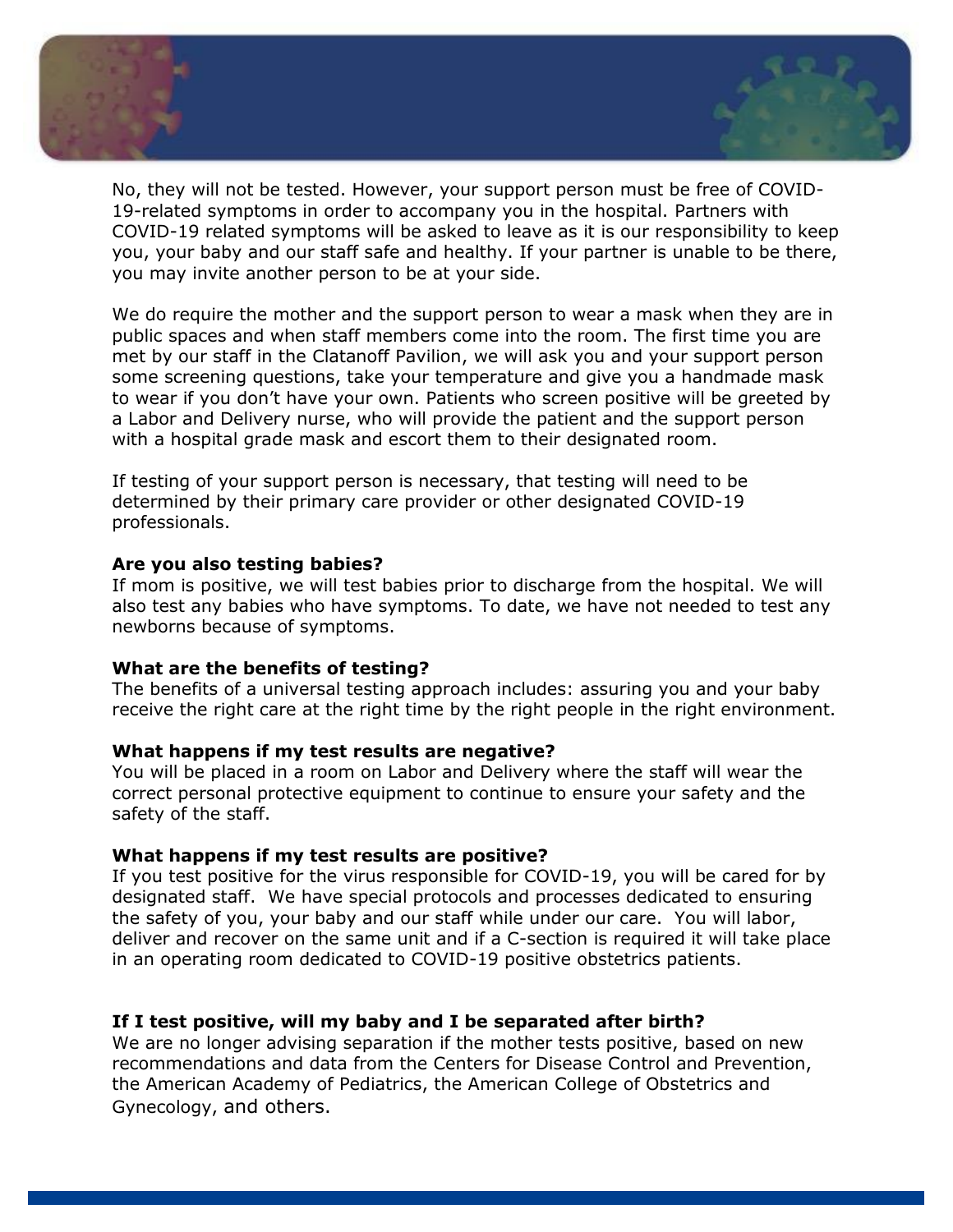

No, they will not be tested. However, your support person must be free of COVID-19-related symptoms in order to accompany you in the hospital. Partners with COVID-19 related symptoms will be asked to leave as it is our responsibility to keep you, your baby and our staff safe and healthy. If your partner is unable to be there, you may invite another person to be at your side.

We do require the mother and the support person to wear a mask when they are in public spaces and when staff members come into the room. The first time you are met by our staff in the Clatanoff Pavilion, we will ask you and your support person some screening questions, take your temperature and give you a handmade mask to wear if you don't have your own. Patients who screen positive will be greeted by a Labor and Delivery nurse, who will provide the patient and the support person with a hospital grade mask and escort them to their designated room.

If testing of your support person is necessary, that testing will need to be determined by their primary care provider or other designated COVID-19 professionals.

## **Are you also testing babies?**

If mom is positive, we will test babies prior to discharge from the hospital. We will also test any babies who have symptoms. To date, we have not needed to test any newborns because of symptoms.

#### **What are the benefits of testing?**

The benefits of a universal testing approach includes: assuring you and your baby receive the right care at the right time by the right people in the right environment.

#### **What happens if my test results are negative?**

You will be placed in a room on Labor and Delivery where the staff will wear the correct personal protective equipment to continue to ensure your safety and the safety of the staff.

## **What happens if my test results are positive?**

If you test positive for the virus responsible for COVID-19, you will be cared for by designated staff. We have special protocols and processes dedicated to ensuring the safety of you, your baby and our staff while under our care. You will labor, deliver and recover on the same unit and if a C-section is required it will take place in an operating room dedicated to COVID-19 positive obstetrics patients.

# **If I test positive, will my baby and I be separated after birth?**

We are no longer advising separation if the mother tests positive, based on new recommendations and data from the Centers for Disease Control and Prevention, the American Academy of Pediatrics, the American College of Obstetrics and Gynecology, and others.